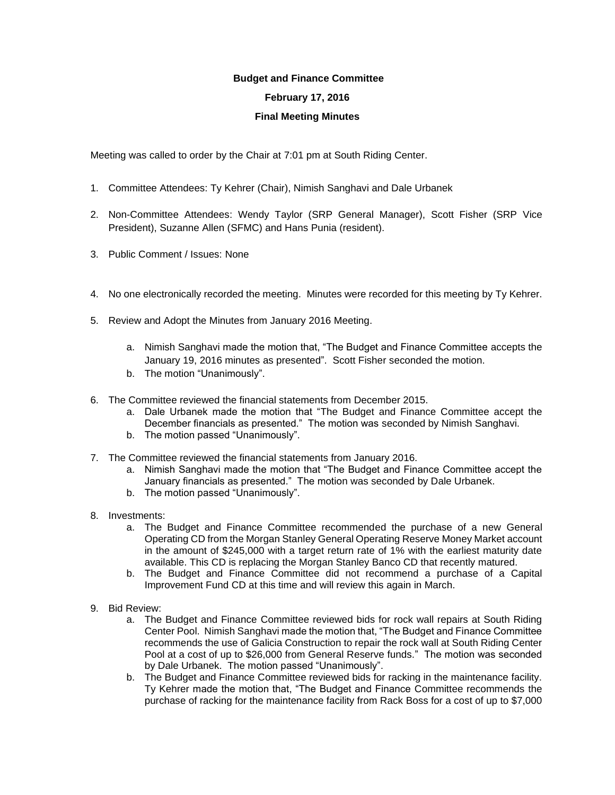## **Budget and Finance Committee**

## **February 17, 2016**

## **Final Meeting Minutes**

Meeting was called to order by the Chair at 7:01 pm at South Riding Center.

- 1. Committee Attendees: Ty Kehrer (Chair), Nimish Sanghavi and Dale Urbanek
- 2. Non-Committee Attendees: Wendy Taylor (SRP General Manager), Scott Fisher (SRP Vice President), Suzanne Allen (SFMC) and Hans Punia (resident).
- 3. Public Comment / Issues: None
- 4. No one electronically recorded the meeting. Minutes were recorded for this meeting by Ty Kehrer.
- 5. Review and Adopt the Minutes from January 2016 Meeting.
	- a. Nimish Sanghavi made the motion that, "The Budget and Finance Committee accepts the January 19, 2016 minutes as presented". Scott Fisher seconded the motion.
	- b. The motion "Unanimously".
- 6. The Committee reviewed the financial statements from December 2015.
	- a. Dale Urbanek made the motion that "The Budget and Finance Committee accept the December financials as presented." The motion was seconded by Nimish Sanghavi.
	- b. The motion passed "Unanimously".
- 7. The Committee reviewed the financial statements from January 2016.
	- a. Nimish Sanghavi made the motion that "The Budget and Finance Committee accept the January financials as presented." The motion was seconded by Dale Urbanek.
	- b. The motion passed "Unanimously".
- 8. Investments:
	- a. The Budget and Finance Committee recommended the purchase of a new General Operating CD from the Morgan Stanley General Operating Reserve Money Market account in the amount of \$245,000 with a target return rate of 1% with the earliest maturity date available. This CD is replacing the Morgan Stanley Banco CD that recently matured.
	- b. The Budget and Finance Committee did not recommend a purchase of a Capital Improvement Fund CD at this time and will review this again in March.
- 9. Bid Review:
	- a. The Budget and Finance Committee reviewed bids for rock wall repairs at South Riding Center Pool. Nimish Sanghavi made the motion that, "The Budget and Finance Committee recommends the use of Galicia Construction to repair the rock wall at South Riding Center Pool at a cost of up to \$26,000 from General Reserve funds." The motion was seconded by Dale Urbanek. The motion passed "Unanimously".
	- b. The Budget and Finance Committee reviewed bids for racking in the maintenance facility. Ty Kehrer made the motion that, "The Budget and Finance Committee recommends the purchase of racking for the maintenance facility from Rack Boss for a cost of up to \$7,000